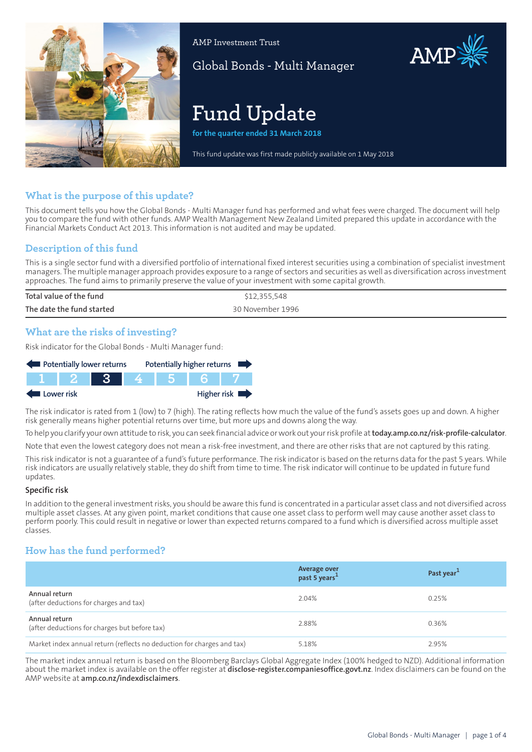

AMP Investment Trust

Global Bonds - Multi Manager

# **Fund Update**

**for the quarter ended 31 March 2018**

This fund update was first made publicly available on 1 May 2018

## **What is the purpose of this update?**

This document tells you how the Global Bonds - Multi Manager fund has performed and what fees were charged. The document will help you to compare the fund with other funds. AMP Wealth Management New Zealand Limited prepared this update in accordance with the Financial Markets Conduct Act 2013. This information is not audited and may be updated.

## **Description of this fund**

This is a single sector fund with a diversified portfolio of international fixed interest securities using a combination of specialist investment managers. The multiple manager approach provides exposure to a range of sectors and securities as well as diversification across investment approaches. The fund aims to primarily preserve the value of your investment with some capital growth.

| Total value of the fund   | \$12,355,548     |
|---------------------------|------------------|
| The date the fund started | 30 November 1996 |

#### **What are the risks of investing?**

Risk indicator for the Global Bonds - Multi Manager fund:



The risk indicator is rated from 1 (low) to 7 (high). The rating reflects how much the value of the fund's assets goes up and down. A higher risk generally means higher potential returns over time, but more ups and downs along the way.

To help you clarify your own attitude to risk, you can seek financial advice orwork out yourrisk profile at**[today.amp.co.nz/risk-profile-calculator](http://today.amp.co.nz/risk-profile-calculator)**.

Note that even the lowest category does not mean a risk-free investment, and there are other risks that are not captured by this rating.

This risk indicator is not a guarantee of a fund's future performance. The risk indicator is based on the returns data for the past 5 years. While risk indicators are usually relatively stable, they do shift from time to time. The risk indicator will continue to be updated in future fund updates.

#### **Specific risk**

In addition to the general investmentrisks, you should be aware this fund is concentrated in a particular asset class and not diversified across multiple asset classes. At any given point, market conditions that cause one asset class to perform well may cause another asset class to perform poorly. This could result in negative or lower than expected returns compared to a fund which is diversified across multiple asset classes.

## **How has the fund performed?**

|                                                                        | Average over<br>past 5 years <sup>1</sup> | Past year <sup>1</sup> |
|------------------------------------------------------------------------|-------------------------------------------|------------------------|
| Annual return<br>(after deductions for charges and tax)                | 2.04%                                     | 0.25%                  |
| Annual return<br>(after deductions for charges but before tax)         | 2.88%                                     | 0.36%                  |
| Market index annual return (reflects no deduction for charges and tax) | 5.18%                                     | 2.95%                  |

The market index annual return is based on the Bloomberg Barclays Global Aggregate Index (100% hedged to NZD). Additional information about the market index is available on the offer register at **[disclose-register.companiesoffice.govt.nz](https://disclose-register.companiesoffice.govt.nz/)**. Index disclaimers can be found on the AMP website at **[amp.co.nz/indexdisclaimers](http://amp.co.nz/indexdisclaimers)**.

AMP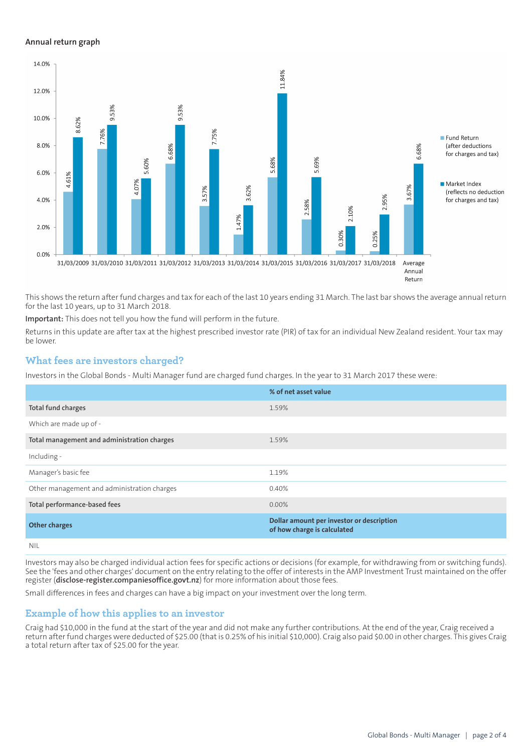#### **Annual return graph**



This shows the return after fund charges and tax for each of the last 10 years ending 31 March. The last bar shows the average annual return for the last 10 years, up to 31 March 2018.

**Important:** This does not tell you how the fund will perform in the future.

Returns in this update are after tax at the highest prescribed investor rate (PIR) of tax for an individual New Zealand resident. Your tax may be lower.

## **What fees are investors charged?**

Investors in the Global Bonds - Multi Manager fund are charged fund charges. In the year to 31 March 2017 these were:

|                                             | % of net asset value                                                     |
|---------------------------------------------|--------------------------------------------------------------------------|
| <b>Total fund charges</b>                   | 1.59%                                                                    |
| Which are made up of -                      |                                                                          |
| Total management and administration charges | 1.59%                                                                    |
| Including -                                 |                                                                          |
| Manager's basic fee                         | 1.19%                                                                    |
| Other management and administration charges | 0.40%                                                                    |
| Total performance-based fees                | $0.00\%$                                                                 |
| <b>Other charges</b>                        | Dollar amount per investor or description<br>of how charge is calculated |
| NII                                         |                                                                          |

Investors may also be charged individual action fees for specific actions or decisions (for example, for withdrawing from or switching funds). See the 'fees and other charges' document on the entry relating to the offer of interests in the AMP Investment Trust maintained on the offer register (**[disclose-register.companiesoffice.govt.nz](https://disclose-register.companiesoffice.govt.nz/)**) for more information about those fees.

Small differences in fees and charges can have a big impact on your investment over the long term.

#### **Example of how this applies to an investor**

Craig had \$10,000 in the fund at the start of the year and did not make any further contributions. At the end of the year, Craig received a return after fund charges were deducted of \$25.00 (that is 0.25% of his initial \$10,000). Craig also paid \$0.00 in other charges. This gives Craig a total return after tax of \$25.00 for the year.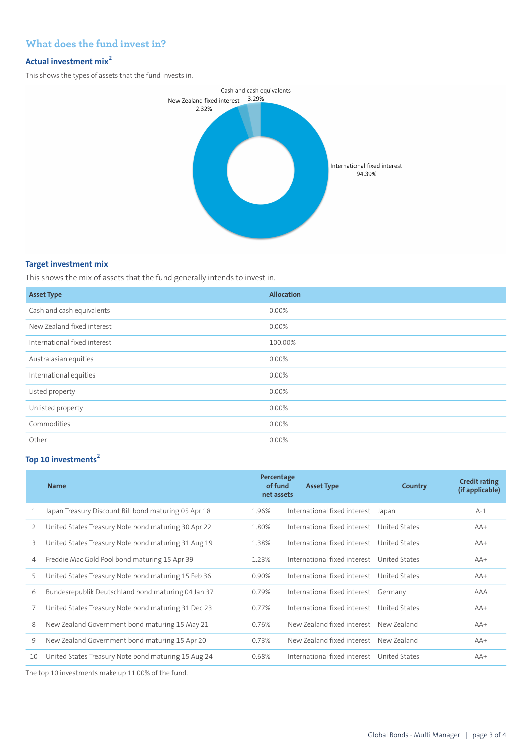## **What does the fund invest in?**

## **Actual investment mix<sup>2</sup>**

This shows the types of assets that the fund invests in.

![](_page_2_Figure_3.jpeg)

#### **Target investment mix**

This shows the mix of assets that the fund generally intends to invest in.

| <b>Asset Type</b>            | <b>Allocation</b> |
|------------------------------|-------------------|
| Cash and cash equivalents    | 0.00%             |
| New Zealand fixed interest   | $0.00\%$          |
| International fixed interest | 100.00%           |
| Australasian equities        | 0.00%             |
| International equities       | 0.00%             |
| Listed property              | 0.00%             |
| Unlisted property            | 0.00%             |
| Commodities                  | 0.00%             |
| Other                        | 0.00%             |

## **Top 10 investments<sup>2</sup>**

|    | <b>Name</b>                                          | Percentage<br>of fund<br>net assets | <b>Asset Type</b>                          | Country     | <b>Credit rating</b><br>(if applicable) |
|----|------------------------------------------------------|-------------------------------------|--------------------------------------------|-------------|-----------------------------------------|
|    | Japan Treasury Discount Bill bond maturing 05 Apr 18 | 1.96%                               | International fixed interest               | Japan       | $A-1$                                   |
| 2  | United States Treasury Note bond maturing 30 Apr 22  | 1.80%                               | International fixed interest United States |             | $AA+$                                   |
| 3  | United States Treasury Note bond maturing 31 Aug 19  | 1.38%                               | International fixed interest United States |             | $AA+$                                   |
| 4  | Freddie Mac Gold Pool bond maturing 15 Apr 39        | 1.23%                               | International fixed interest United States |             | $AA+$                                   |
| 5  | United States Treasury Note bond maturing 15 Feb 36  | 0.90%                               | International fixed interest United States |             | $AA+$                                   |
| 6  | Bundesrepublik Deutschland bond maturing 04 Jan 37   | 0.79%                               | International fixed interest Germany       |             | AAA                                     |
|    | United States Treasury Note bond maturing 31 Dec 23  | 0.77%                               | International fixed interest United States |             | $AA+$                                   |
| 8  | New Zealand Government bond maturing 15 May 21       | 0.76%                               | New Zealand fixed interest                 | New 7ealand | $AA+$                                   |
| 9  | New Zealand Government bond maturing 15 Apr 20       | 0.73%                               | New Zealand fixed interest                 | New 7ealand | $AA+$                                   |
| 10 | United States Treasury Note bond maturing 15 Aug 24  | 0.68%                               | International fixed interest United States |             | $AA+$                                   |

The top 10 investments make up 11.00% of the fund.